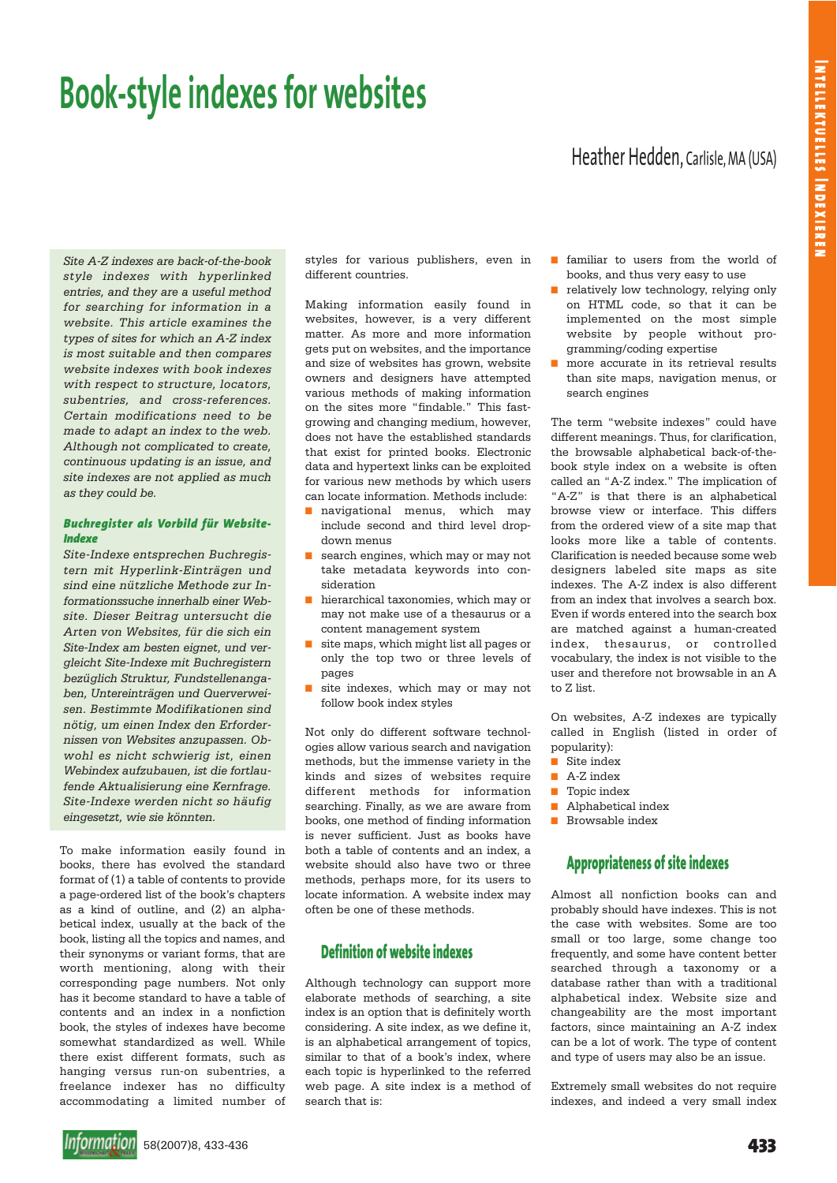# **Book-style indexes for websites**

# Heather Hedden, Carlisle, MA (USA)

*Site A-Z indexes are back-of-the-book style indexes with hyperlinked entries, and they are a useful method for searching for information in a website. This article examines the types of sites for which an A-Z index is most suitable and then compares website indexes with book indexes with respect to structure, locators, subentries, and cross-references. Certain modifications need to be made to adapt an index to the web. Although not complicated to create, continuous updating is an issue, and site indexes are not applied as much as they could be.*

### *Buchregister als Vorbild für Website-Indexe*

*Site-Indexe entsprechen Buchregistern mit Hyperlink-Einträgen und sind eine nützliche Methode zur Informationssuche innerhalb einer Website. Dieser Beitrag untersucht die Arten von Websites, für die sich ein Site-Index am besten eignet, und vergleicht Site-Indexe mit Buchregistern bezüglich Struktur, Fundstellenangaben, Untereinträgen und Querverweisen. Bestimmte Modifikationen sind nötig, um einen Index den Erfordernissen von Websites anzupassen. Obwohl es nicht schwierig ist, einen Webindex aufzubauen, ist die fortlaufende Aktualisierung eine Kernfrage. Site-Indexe werden nicht so häufig eingesetzt, wie sie könnten.*

To make information easily found in books, there has evolved the standard format of (1) a table of contents to provide a page-ordered list of the book's chapters as a kind of outline, and (2) an alphabetical index, usually at the back of the book, listing all the topics and names, and their synonyms or variant forms, that are worth mentioning, along with their corresponding page numbers. Not only has it become standard to have a table of contents and an index in a nonfiction book, the styles of indexes have become somewhat standardized as well. While there exist different formats, such as hanging versus run-on subentries, a freelance indexer has no difficulty accommodating a limited number of styles for various publishers, even in different countries.

Making information easily found in websites, however, is a very different matter. As more and more information gets put on websites, and the importance and size of websites has grown, website owners and designers have attempted various methods of making information on the sites more "findable." This fastgrowing and changing medium, however, does not have the established standards that exist for printed books. Electronic data and hypertext links can be exploited for various new methods by which users can locate information. Methods include:

- navigational menus, which may include second and third level dropdown menus
- search engines, which may or may not take metadata keywords into consideration
- hierarchical taxonomies, which may or may not make use of a thesaurus or a content management system
- site maps, which might list all pages or only the top two or three levels of pages
- site indexes, which may or may not follow book index styles

Not only do different software technologies allow various search and navigation methods, but the immense variety in the kinds and sizes of websites require different methods for information searching. Finally, as we are aware from books, one method of finding information is never sufficient. Just as books have both a table of contents and an index, a website should also have two or three methods, perhaps more, for its users to locate information. A website index may often be one of these methods.

# **Definition of website indexes**

Although technology can support more elaborate methods of searching, a site index is an option that is definitely worth considering. A site index, as we define it, is an alphabetical arrangement of topics, similar to that of a book's index, where each topic is hyperlinked to the referred web page. A site index is a method of search that is:

- familiar to users from the world of books, and thus very easy to use
- relatively low technology, relying only on HTML code, so that it can be implemented on the most simple website by people without programming/coding expertise
- more accurate in its retrieval results than site maps, navigation menus, or search engines

The term "website indexes" could have different meanings. Thus, for clarification, the browsable alphabetical back-of-thebook style index on a website is often called an "A-Z index." The implication of "A-Z" is that there is an alphabetical browse view or interface. This differs from the ordered view of a site map that looks more like a table of contents. Clarification is needed because some web designers labeled site maps as site indexes. The A-Z index is also different from an index that involves a search box. Even if words entered into the search box are matched against a human-created index, thesaurus, or controlled vocabulary, the index is not visible to the user and therefore not browsable in an A to Z list.

On websites, A-Z indexes are typically called in English (listed in order of popularity):

- Site index
- A-Z index
- Topic index
- Alphabetical index
- Browsable index

# **Appropriateness of site indexes**

Almost all nonfiction books can and probably should have indexes. This is not the case with websites. Some are too small or too large, some change too frequently, and some have content better searched through a taxonomy or a database rather than with a traditional alphabetical index. Website size and changeability are the most important factors, since maintaining an A-Z index can be a lot of work. The type of content and type of users may also be an issue.

Extremely small websites do not require indexes, and indeed a very small index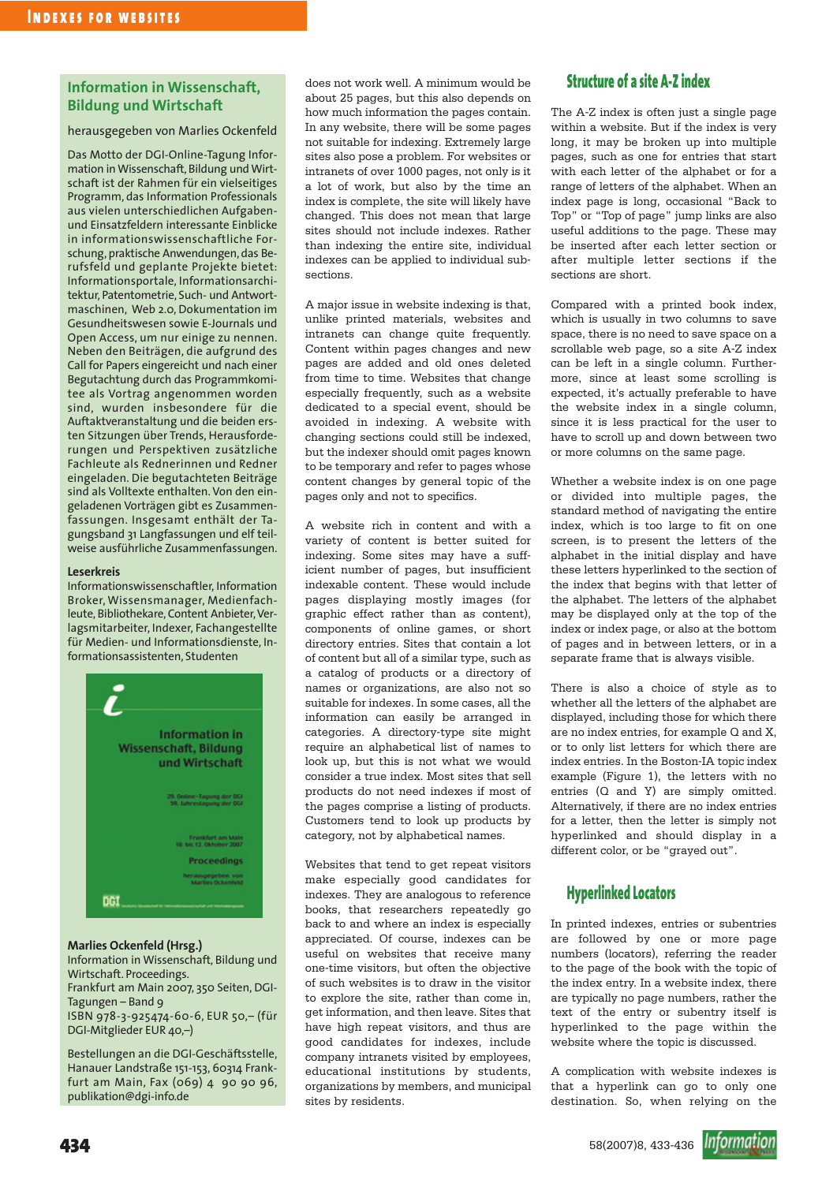## **Information in Wissenschaft, Bildung und Wirtschaft**

## herausgegeben von Marlies Ockenfeld

Das Motto der DGI-Online-Tagung Information in Wissenschaft, Bildung und Wirtschaft ist der Rahmen für ein vielseitiges Programm, das Information Professionals aus vielen unterschiedlichen Aufgabenund Einsatzfeldern interessante Einblicke in informationswissenschaftliche Forschung, praktische Anwendungen, das Berufsfeld und geplante Projekte bietet: Informationsportale, Informationsarchitektur, Patentometrie, Such- und Antwortmaschinen, Web 2.0, Dokumentation im Gesundheitswesen sowie E-Journals und Open Access, um nur einige zu nennen. Neben den Beiträgen, die aufgrund des Call for Papers eingereicht und nach einer Begutachtung durch das Programmkomitee als Vortrag angenommen worden sind, wurden insbesondere für die Auftaktveranstaltung und die beiden ersten Sitzungen über Trends, Herausforderungen und Perspektiven zusätzliche Fachleute als Rednerinnen und Redner eingeladen. Die begutachteten Beiträge sind als Volltexte enthalten. Von den eingeladenen Vorträgen gibt es Zusammenfassungen. Insgesamt enthält der Tagungsband 31 Langfassungen und elf teilweise ausführliche Zusammenfassungen.

#### **Leserkreis**

Informationswissenschaftler, Information Broker, Wissensmanager, Medienfachleute, Bibliothekare, Content Anbieter, Verlagsmitarbeiter, Indexer, Fachangestellte für Medien- und Informationsdienste, Informationsassistenten, Studenten



#### **Marlies Ockenfeld (Hrsg.)**

Information in Wissenschaft, Bildung und Wirtschaft. Proceedings. Frankfurt am Main 2007, 350 Seiten, DGI-Tagungen – Band 9 ISBN 978-3-925474-60-6, EUR 50,– (für DGI-Mitglieder EUR 40,–)

Bestellungen an die DGI-Geschäftsstelle, Hanauer Landstraße 151-153, 60314 Frankfurt am Main, Fax (069) 4 90 90 96, publikation@dgi-info.de

does not work well. A minimum would be about 25 pages, but this also depends on how much information the pages contain. In any website, there will be some pages not suitable for indexing. Extremely large sites also pose a problem. For websites or intranets of over 1000 pages, not only is it a lot of work, but also by the time an index is complete, the site will likely have changed. This does not mean that large sites should not include indexes. Rather than indexing the entire site, individual indexes can be applied to individual subsections.

A major issue in website indexing is that, unlike printed materials, websites and intranets can change quite frequently. Content within pages changes and new pages are added and old ones deleted from time to time. Websites that change especially frequently, such as a website dedicated to a special event, should be avoided in indexing. A website with changing sections could still be indexed, but the indexer should omit pages known to be temporary and refer to pages whose content changes by general topic of the pages only and not to specifics.

A website rich in content and with a variety of content is better suited for indexing. Some sites may have a sufficient number of pages, but insufficient indexable content. These would include pages displaying mostly images (for graphic effect rather than as content), components of online games, or short directory entries. Sites that contain a lot of content but all of a similar type, such as a catalog of products or a directory of names or organizations, are also not so suitable for indexes. In some cases, all the information can easily be arranged in categories. A directory-type site might require an alphabetical list of names to look up, but this is not what we would consider a true index. Most sites that sell products do not need indexes if most of the pages comprise a listing of products. Customers tend to look up products by category, not by alphabetical names.

Websites that tend to get repeat visitors make especially good candidates for indexes. They are analogous to reference books, that researchers repeatedly go back to and where an index is especially appreciated. Of course, indexes can be useful on websites that receive many one-time visitors, but often the objective of such websites is to draw in the visitor to explore the site, rather than come in, get information, and then leave. Sites that have high repeat visitors, and thus are good candidates for indexes, include company intranets visited by employees, educational institutions by students, organizations by members, and municipal sites by residents.

# **Structure of a site A-Z index**

The A-Z index is often just a single page within a website. But if the index is very long, it may be broken up into multiple pages, such as one for entries that start with each letter of the alphabet or for a range of letters of the alphabet. When an index page is long, occasional "Back to Top" or "Top of page" jump links are also useful additions to the page. These may be inserted after each letter section or after multiple letter sections if the sections are short.

Compared with a printed book index, which is usually in two columns to save space, there is no need to save space on a scrollable web page, so a site A-Z index can be left in a single column. Furthermore, since at least some scrolling is expected, it's actually preferable to have the website index in a single column, since it is less practical for the user to have to scroll up and down between two or more columns on the same page.

Whether a website index is on one page or divided into multiple pages, the standard method of navigating the entire index, which is too large to fit on one screen, is to present the letters of the alphabet in the initial display and have these letters hyperlinked to the section of the index that begins with that letter of the alphabet. The letters of the alphabet may be displayed only at the top of the index or index page, or also at the bottom of pages and in between letters, or in a separate frame that is always visible.

There is also a choice of style as to whether all the letters of the alphabet are displayed, including those for which there are no index entries, for example Q and X, or to only list letters for which there are index entries. In the Boston-IA topic index example (Figure 1), the letters with no entries (Q and Y) are simply omitted. Alternatively, if there are no index entries for a letter, then the letter is simply not hyperlinked and should display in a different color, or be "grayed out".

# **Hyperlinked Locators**

In printed indexes, entries or subentries are followed by one or more page numbers (locators), referring the reader to the page of the book with the topic of the index entry. In a website index, there are typically no page numbers, rather the text of the entry or subentry itself is hyperlinked to the page within the website where the topic is discussed.

A complication with website indexes is that a hyperlink can go to only one destination. So, when relying on the

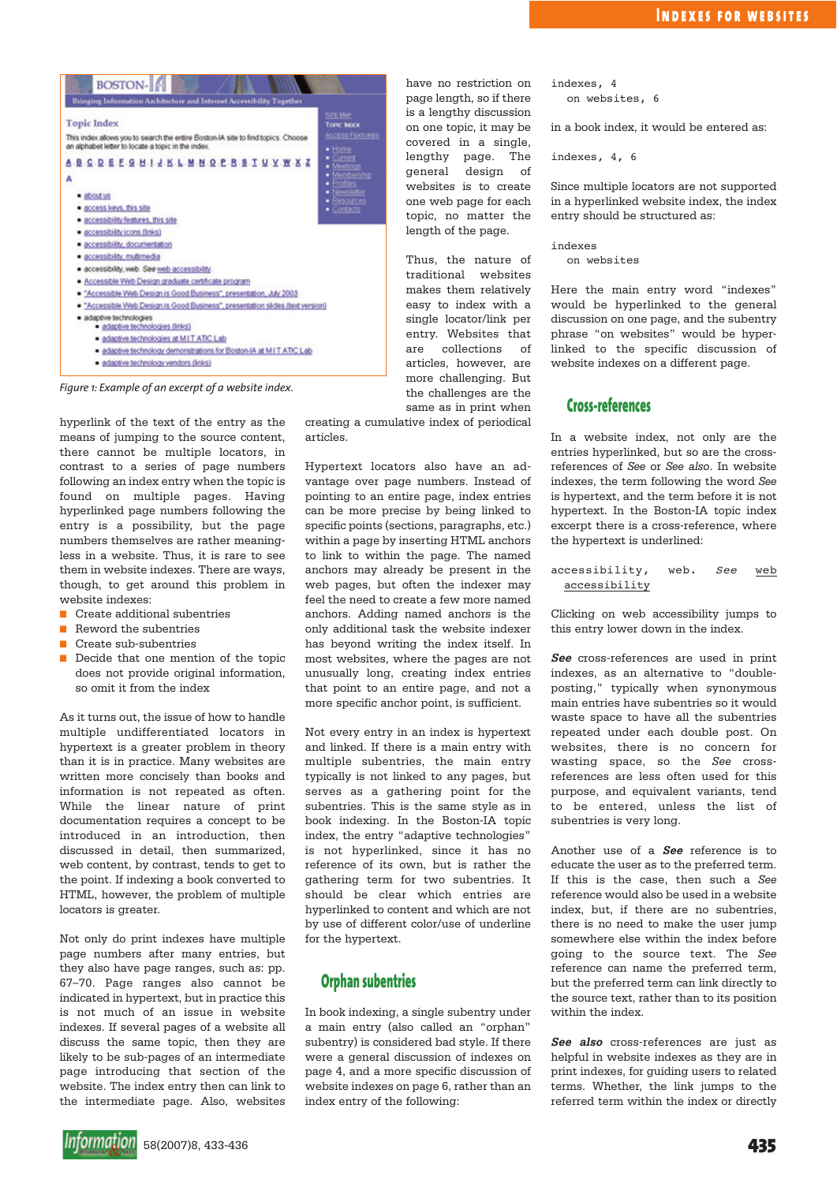

*Figure 1: Example of an excerpt of a website index.*

hyperlink of the text of the entry as the means of jumping to the source content, there cannot be multiple locators, in contrast to a series of page numbers following an index entry when the topic is found on multiple pages. Having hyperlinked page numbers following the entry is a possibility, but the page numbers themselves are rather meaningless in a website. Thus, it is rare to see them in website indexes. There are ways, though, to get around this problem in website indexes:

- Create additional subentries
- Reword the subentries
- Create sub-subentries
- Decide that one mention of the topic does not provide original information, so omit it from the index

As it turns out, the issue of how to handle multiple undifferentiated locators in hypertext is a greater problem in theory than it is in practice. Many websites are written more concisely than books and information is not repeated as often. While the linear nature of print documentation requires a concept to be introduced in an introduction, then discussed in detail, then summarized, web content, by contrast, tends to get to the point. If indexing a book converted to HTML, however, the problem of multiple locators is greater.

Not only do print indexes have multiple page numbers after many entries, but they also have page ranges, such as: pp. 67–70. Page ranges also cannot be indicated in hypertext, but in practice this is not much of an issue in website indexes. If several pages of a website all discuss the same topic, then they are likely to be sub-pages of an intermediate page introducing that section of the website. The index entry then can link to the intermediate page. Also, websites

have no restriction on page length, so if there is a lengthy discussion on one topic, it may be covered in a single, lengthy page. The general design of websites is to create one web page for each topic, no matter the length of the page.

Thus, the nature of traditional websites makes them relatively easy to index with a single locator/link per entry. Websites that are collections of articles, however, are more challenging. But the challenges are the same as in print when

creating a cumulative index of periodical articles.

Hypertext locators also have an advantage over page numbers. Instead of pointing to an entire page, index entries can be more precise by being linked to specific points (sections, paragraphs, etc.) within a page by inserting HTML anchors to link to within the page. The named anchors may already be present in the web pages, but often the indexer may feel the need to create a few more named anchors. Adding named anchors is the only additional task the website indexer has beyond writing the index itself. In most websites, where the pages are not unusually long, creating index entries that point to an entire page, and not a more specific anchor point, is sufficient.

Not every entry in an index is hypertext and linked. If there is a main entry with multiple subentries, the main entry typically is not linked to any pages, but serves as a gathering point for the subentries. This is the same style as in book indexing. In the Boston-IA topic index, the entry "adaptive technologies" is not hyperlinked, since it has no reference of its own, but is rather the gathering term for two subentries. It should be clear which entries are hyperlinked to content and which are not by use of different color/use of underline for the hypertext.

## **Orphan subentries**

In book indexing, a single subentry under a main entry (also called an "orphan" subentry) is considered bad style. If there were a general discussion of indexes on page 4, and a more specific discussion of website indexes on page 6, rather than an index entry of the following:

indexes, 4 on websites, 6

in a book index, it would be entered as:

indexes, 4, 6

Since multiple locators are not supported in a hyperlinked website index, the index entry should be structured as:

indexes

on websites

Here the main entry word "indexes" would be hyperlinked to the general discussion on one page, and the subentry phrase "on websites" would be hyperlinked to the specific discussion of website indexes on a different page.

## **Cross-references**

In a website index, not only are the entries hyperlinked, but so are the crossreferences of *See* or *See also*. In website indexes, the term following the word *See* is hypertext, and the term before it is not hypertext. In the Boston-IA topic index excerpt there is a cross-reference, where the hypertext is underlined:

accessibility, web. *See* web accessibility

Clicking on web accessibility jumps to this entry lower down in the index.

**See** cross-references are used in print indexes, as an alternative to "doubleposting," typically when synonymous main entries have subentries so it would waste space to have all the subentries repeated under each double post. On websites, there is no concern for wasting space, so the *See* crossreferences are less often used for this purpose, and equivalent variants, tend to be entered, unless the list of subentries is very long.

Another use of a **See** reference is to educate the user as to the preferred term. If this is the case, then such a *See* reference would also be used in a website index, but, if there are no subentries, there is no need to make the user jump somewhere else within the index before going to the source text. The *See* reference can name the preferred term, but the preferred term can link directly to the source text, rather than to its position within the index.

**See also** cross-references are just as helpful in website indexes as they are in print indexes, for guiding users to related terms. Whether, the link jumps to the referred term within the index or directly